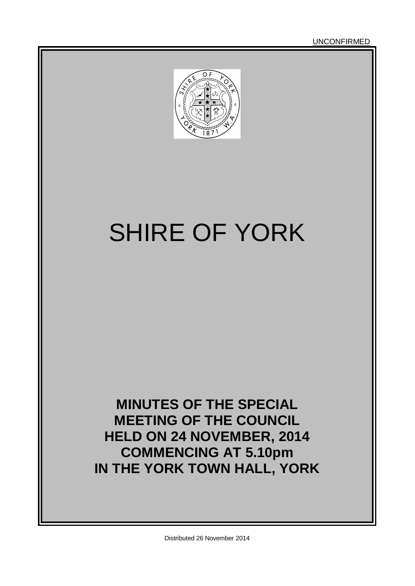UNCONFIRMED



# SHIRE OF YORK

**MINUTES OF THE SPECIAL MEETING OF THE COUNCIL HELD ON 24 NOVEMBER, 2014 COMMENCING AT 5.10pm IN THE YORK TOWN HALL, YORK**

Distributed 26 November 2014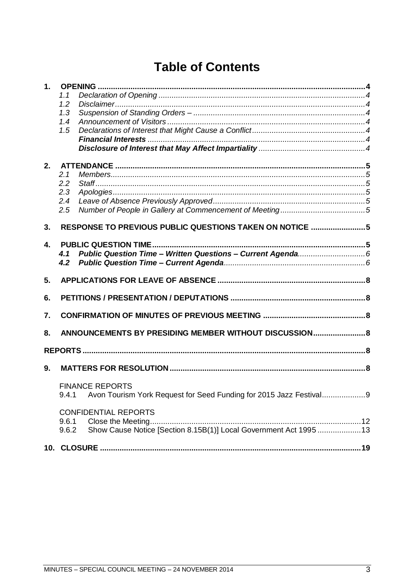# **Table of Contents**

| 1. |                                                         |                                                                    |     |  |
|----|---------------------------------------------------------|--------------------------------------------------------------------|-----|--|
|    | 1.1                                                     |                                                                    |     |  |
|    | 1.2                                                     |                                                                    |     |  |
|    | 1.3                                                     |                                                                    |     |  |
|    | 1.4                                                     |                                                                    |     |  |
|    | 1.5                                                     |                                                                    |     |  |
|    |                                                         |                                                                    |     |  |
|    |                                                         |                                                                    |     |  |
| 2. |                                                         |                                                                    |     |  |
|    | 2.1                                                     |                                                                    |     |  |
|    | 2.2                                                     |                                                                    |     |  |
|    | 2.3                                                     |                                                                    |     |  |
|    | 2.4                                                     |                                                                    |     |  |
|    | 2.5                                                     |                                                                    |     |  |
|    |                                                         |                                                                    |     |  |
| 3. | RESPONSE TO PREVIOUS PUBLIC QUESTIONS TAKEN ON NOTICE 5 |                                                                    |     |  |
| 4. |                                                         |                                                                    |     |  |
|    | 4.1                                                     |                                                                    |     |  |
|    | 4.2                                                     |                                                                    |     |  |
|    |                                                         |                                                                    |     |  |
| 5. |                                                         |                                                                    |     |  |
| 6. |                                                         |                                                                    |     |  |
| 7. |                                                         |                                                                    |     |  |
| 8. |                                                         | ANNOUNCEMENTS BY PRESIDING MEMBER WITHOUT DISCUSSION 8             |     |  |
|    |                                                         |                                                                    |     |  |
|    |                                                         |                                                                    |     |  |
| 9. |                                                         |                                                                    |     |  |
|    | <b>FINANCE REPORTS</b>                                  |                                                                    |     |  |
|    | 9.4.1                                                   | Avon Tourism York Request for Seed Funding for 2015 Jazz Festival9 |     |  |
|    |                                                         |                                                                    |     |  |
|    | <b>CONFIDENTIAL REPORTS</b>                             |                                                                    |     |  |
|    | 9.6.1                                                   |                                                                    |     |  |
|    | 9.6.2                                                   | Show Cause Notice [Section 8.15B(1)] Local Government Act 1995 13  |     |  |
|    |                                                         |                                                                    | .19 |  |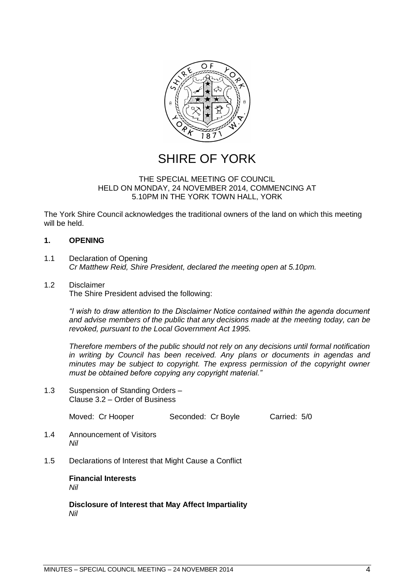

# SHIRE OF YORK

# THE SPECIAL MEETING OF COUNCIL HELD ON MONDAY, 24 NOVEMBER 2014, COMMENCING AT 5.10PM IN THE YORK TOWN HALL, YORK

The York Shire Council acknowledges the traditional owners of the land on which this meeting will be held.

# <span id="page-3-0"></span>**1. OPENING**

- <span id="page-3-1"></span>1.1 Declaration of Opening *Cr Matthew Reid, Shire President, declared the meeting open at 5.10pm.*
- <span id="page-3-2"></span>1.2 Disclaimer The Shire President advised the following:

*―I wish to draw attention to the Disclaimer Notice contained within the agenda document and advise members of the public that any decisions made at the meeting today, can be revoked, pursuant to the Local Government Act 1995.* 

*Therefore members of the public should not rely on any decisions until formal notification in writing by Council has been received. Any plans or documents in agendas and minutes may be subject to copyright. The express permission of the copyright owner must be obtained before copying any copyright material.‖*

<span id="page-3-3"></span>1.3 Suspension of Standing Orders – Clause 3.2 – Order of Business

Moved: Cr Hooper Seconded: Cr Boyle Carried: 5/0

- <span id="page-3-4"></span>1.4 Announcement of Visitors *Nil*
- <span id="page-3-6"></span><span id="page-3-5"></span>1.5 Declarations of Interest that Might Cause a Conflict

**Financial Interests** *Nil*

<span id="page-3-7"></span>**Disclosure of Interest that May Affect Impartiality** *Nil*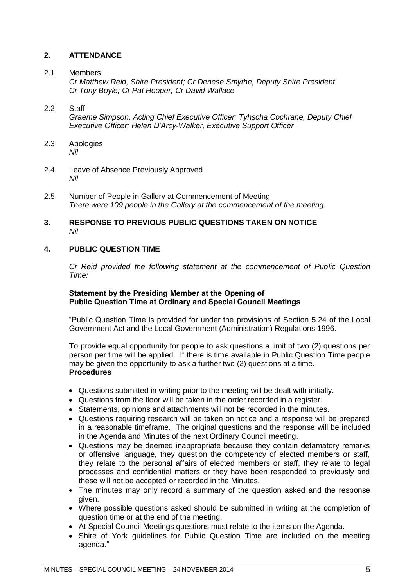# <span id="page-4-0"></span>**2. ATTENDANCE**

# <span id="page-4-1"></span>2.1 Members

*Cr Matthew Reid, Shire President; Cr Denese Smythe, Deputy Shire President Cr Tony Boyle; Cr Pat Hooper, Cr David Wallace*

# <span id="page-4-2"></span>2.2 Staff

*Graeme Simpson, Acting Chief Executive Officer; Tyhscha Cochrane, Deputy Chief Executive Officer; Helen D'Arcy-Walker, Executive Support Officer*

- <span id="page-4-3"></span>2.3 Apologies *Nil*
- <span id="page-4-4"></span>2.4 Leave of Absence Previously Approved *Nil*
- <span id="page-4-5"></span>2.5 Number of People in Gallery at Commencement of Meeting *There were 109 people in the Gallery at the commencement of the meeting.*

# <span id="page-4-6"></span>**3. RESPONSE TO PREVIOUS PUBLIC QUESTIONS TAKEN ON NOTICE** *Nil*

# <span id="page-4-7"></span>**4. PUBLIC QUESTION TIME**

*Cr Reid provided the following statement at the commencement of Public Question Time:*

# **Statement by the Presiding Member at the Opening of Public Question Time at Ordinary and Special Council Meetings**

"Public Question Time is provided for under the provisions of Section 5.24 of the Local Government Act and the Local Government (Administration) Regulations 1996.

To provide equal opportunity for people to ask questions a limit of two (2) questions per person per time will be applied. If there is time available in Public Question Time people may be given the opportunity to ask a further two (2) questions at a time. **Procedures**

- Questions submitted in writing prior to the meeting will be dealt with initially.
- Questions from the floor will be taken in the order recorded in a register.
- Statements, opinions and attachments will not be recorded in the minutes.
- Questions requiring research will be taken on notice and a response will be prepared in a reasonable timeframe. The original questions and the response will be included in the Agenda and Minutes of the next Ordinary Council meeting.
- Questions may be deemed inappropriate because they contain defamatory remarks or offensive language, they question the competency of elected members or staff, they relate to the personal affairs of elected members or staff, they relate to legal processes and confidential matters or they have been responded to previously and these will not be accepted or recorded in the Minutes.
- The minutes may only record a summary of the question asked and the response given.
- Where possible questions asked should be submitted in writing at the completion of question time or at the end of the meeting.
- At Special Council Meetings questions must relate to the items on the Agenda.
- Shire of York guidelines for Public Question Time are included on the meeting agenda."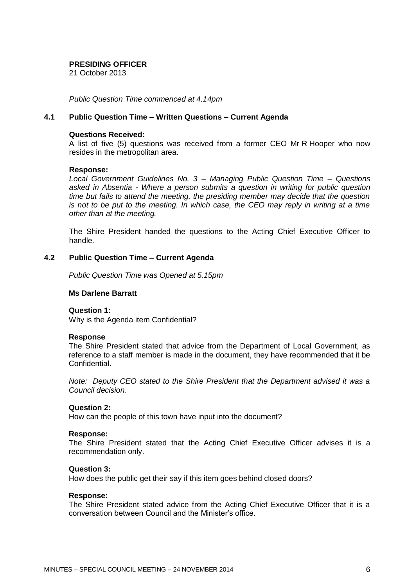# **PRESIDING OFFICER**

21 October 2013

*Public Question Time commenced at 4.14pm*

# <span id="page-5-0"></span>**4.1 Public Question Time – Written Questions – Current Agenda**

# **Questions Received:**

A list of five (5) questions was received from a former CEO Mr R Hooper who now resides in the metropolitan area.

# **Response:**

*Local Government Guidelines No. 3 – Managing Public Question Time – Questions asked in Absentia - Where a person submits a question in writing for public question time but fails to attend the meeting, the presiding member may decide that the question is not to be put to the meeting. In which case, the CEO may reply in writing at a time other than at the meeting.*

The Shire President handed the questions to the Acting Chief Executive Officer to handle.

# <span id="page-5-1"></span>**4.2 Public Question Time – Current Agenda**

*Public Question Time was Opened at 5.15pm*

# **Ms Darlene Barratt**

# **Question 1:**

Why is the Agenda item Confidential?

## **Response**

The Shire President stated that advice from the Department of Local Government, as reference to a staff member is made in the document, they have recommended that it be Confidential.

*Note: Deputy CEO stated to the Shire President that the Department advised it was a Council decision.*

# **Question 2:**

How can the people of this town have input into the document?

## **Response:**

The Shire President stated that the Acting Chief Executive Officer advises it is a recommendation only.

# **Question 3:**

How does the public get their say if this item goes behind closed doors?

## **Response:**

The Shire President stated advice from the Acting Chief Executive Officer that it is a conversation between Council and the Minister's office.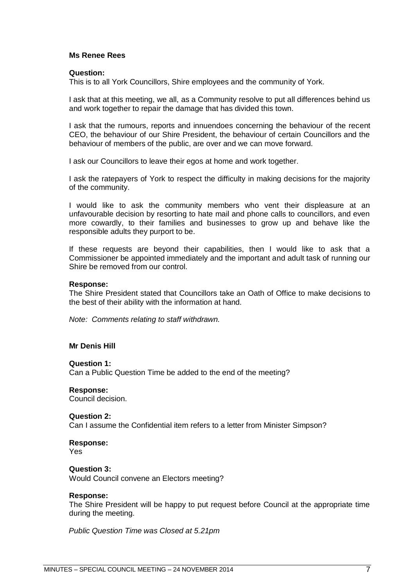# **Ms Renee Rees**

### **Question:**

This is to all York Councillors, Shire employees and the community of York.

I ask that at this meeting, we all, as a Community resolve to put all differences behind us and work together to repair the damage that has divided this town.

I ask that the rumours, reports and innuendoes concerning the behaviour of the recent CEO, the behaviour of our Shire President, the behaviour of certain Councillors and the behaviour of members of the public, are over and we can move forward.

I ask our Councillors to leave their egos at home and work together.

I ask the ratepayers of York to respect the difficulty in making decisions for the majority of the community.

I would like to ask the community members who vent their displeasure at an unfavourable decision by resorting to hate mail and phone calls to councillors, and even more cowardly, to their families and businesses to grow up and behave like the responsible adults they purport to be.

If these requests are beyond their capabilities, then I would like to ask that a Commissioner be appointed immediately and the important and adult task of running our Shire be removed from our control.

#### **Response:**

The Shire President stated that Councillors take an Oath of Office to make decisions to the best of their ability with the information at hand.

*Note: Comments relating to staff withdrawn.*

## **Mr Denis Hill**

#### **Question 1:**

Can a Public Question Time be added to the end of the meeting?

#### **Response:**

Council decision.

#### **Question 2:**

Can I assume the Confidential item refers to a letter from Minister Simpson?

#### **Response:** Yes

# **Question 3:**

Would Council convene an Electors meeting?

#### **Response:**

The Shire President will be happy to put request before Council at the appropriate time during the meeting.

<span id="page-6-0"></span>*Public Question Time was Closed at 5.21pm*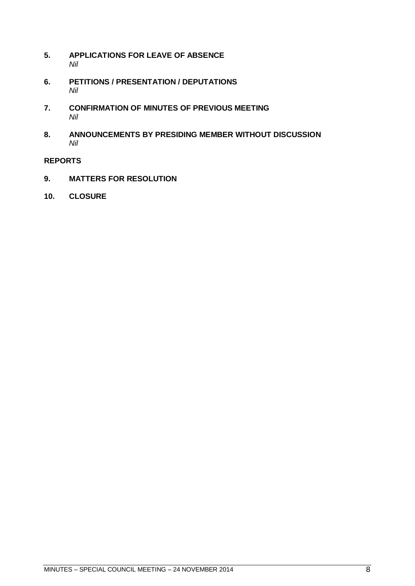- **5. APPLICATIONS FOR LEAVE OF ABSENCE** *Nil*
- <span id="page-7-0"></span>**6. PETITIONS / PRESENTATION / DEPUTATIONS** *Nil*
- <span id="page-7-1"></span>**7. CONFIRMATION OF MINUTES OF PREVIOUS MEETING** *Nil*
- <span id="page-7-2"></span>**8. ANNOUNCEMENTS BY PRESIDING MEMBER WITHOUT DISCUSSION** *Nil*

# <span id="page-7-3"></span>**REPORTS**

- <span id="page-7-4"></span>**9. MATTERS FOR RESOLUTION**
- **10. CLOSURE**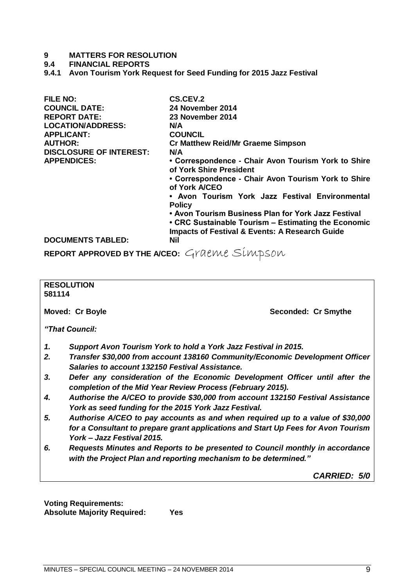# **9 MATTERS FOR RESOLUTION**

# **9.4 FINANCIAL REPORTS**

<span id="page-8-0"></span>**9.4.1 Avon Tourism York Request for Seed Funding for 2015 Jazz Festival**

| <b>FILE NO:</b>                | <b>CS.CEV.2</b>                                                                |
|--------------------------------|--------------------------------------------------------------------------------|
| <b>COUNCIL DATE:</b>           | 24 November 2014                                                               |
| <b>REPORT DATE:</b>            | 23 November 2014                                                               |
| <b>LOCATION/ADDRESS:</b>       | N/A                                                                            |
| <b>APPLICANT:</b>              | <b>COUNCIL</b>                                                                 |
| <b>AUTHOR:</b>                 | <b>Cr Matthew Reid/Mr Graeme Simpson</b>                                       |
| <b>DISCLOSURE OF INTEREST:</b> | N/A                                                                            |
| <b>APPENDICES:</b>             | • Correspondence - Chair Avon Tourism York to Shire<br>of York Shire President |
|                                | • Correspondence - Chair Avon Tourism York to Shire<br>of York A/CEO           |
|                                | • Avon Tourism York Jazz Festival Environmental<br><b>Policy</b>               |
|                                | • Avon Tourism Business Plan for York Jazz Festival                            |
|                                | • CRC Sustainable Tourism – Estimating the Economic                            |
|                                | <b>Impacts of Festival &amp; Events: A Research Guide</b>                      |
| <b>DOCUMENTS TABLED:</b>       | <b>Nil</b>                                                                     |

**REPORT APPROVED BY THE A/CEO:** Graeme Simpson

# **RESOLUTION 581114 Moved: Cr Boyle Seconded: Cr Smythe** *"That Council: 1. Support Avon Tourism York to hold a York Jazz Festival in 2015. 2. Transfer \$30,000 from account 138160 Community/Economic Development Officer Salaries to account 132150 Festival Assistance. 3. Defer any consideration of the Economic Development Officer until after the completion of the Mid Year Review Process (February 2015). 4. Authorise the A/CEO to provide \$30,000 from account 132150 Festival Assistance York as seed funding for the 2015 York Jazz Festival. 5. Authorise A/CEO to pay accounts as and when required up to a value of \$30,000 for a Consultant to prepare grant applications and Start Up Fees for Avon Tourism York – Jazz Festival 2015. 6. Requests Minutes and Reports to be presented to Council monthly in accordance with the Project Plan and reporting mechanism to be determined." CARRIED: 5/0*

**Voting Requirements: Absolute Majority Required: Yes**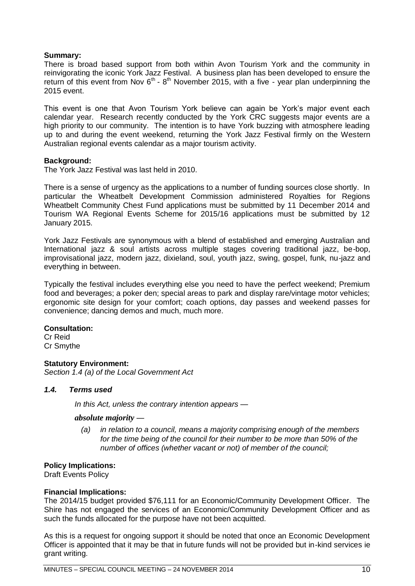# **Summary:**

There is broad based support from both within Avon Tourism York and the community in reinvigorating the iconic York Jazz Festival. A business plan has been developed to ensure the return of this event from Nov  $6<sup>th</sup>$  -  $8<sup>th</sup>$  November 2015, with a five - year plan underpinning the 2015 event.

This event is one that Avon Tourism York believe can again be York's major event each calendar year. Research recently conducted by the York CRC suggests major events are a high priority to our community. The intention is to have York buzzing with atmosphere leading up to and during the event weekend, returning the York Jazz Festival firmly on the Western Australian regional events calendar as a major tourism activity.

# **Background:**

The York Jazz Festival was last held in 2010.

There is a sense of urgency as the applications to a number of funding sources close shortly. In particular the Wheatbelt Development Commission administered Royalties for Regions Wheatbelt Community Chest Fund applications must be submitted by 11 December 2014 and Tourism WA Regional Events Scheme for 2015/16 applications must be submitted by 12 January 2015.

York Jazz Festivals are synonymous with a blend of established and emerging Australian and International jazz & soul artists across multiple stages covering traditional jazz, be-bop, improvisational jazz, modern jazz, dixieland, soul, youth jazz, swing, gospel, funk, nu-jazz and everything in between.

Typically the festival includes everything else you need to have the perfect weekend; Premium food and beverages; a poker den; special areas to park and display rare/vintage motor vehicles; ergonomic site design for your comfort; coach options, day passes and weekend passes for convenience; dancing demos and much, much more.

## **Consultation:**

Cr Reid Cr Smythe

# **Statutory Environment:**

*Section 1.4 (a) of the Local Government Act*

# *1.4. Terms used*

*In this Act, unless the contrary intention appears —*

## *absolute majority —*

*(a) in relation to a council, means a majority comprising enough of the members for the time being of the council for their number to be more than 50% of the number of offices (whether vacant or not) of member of the council;*

# **Policy Implications:**

Draft Events Policy

## **Financial Implications:**

The 2014/15 budget provided \$76,111 for an Economic/Community Development Officer. The Shire has not engaged the services of an Economic/Community Development Officer and as such the funds allocated for the purpose have not been acquitted.

As this is a request for ongoing support it should be noted that once an Economic Development Officer is appointed that it may be that in future funds will not be provided but in-kind services ie grant writing.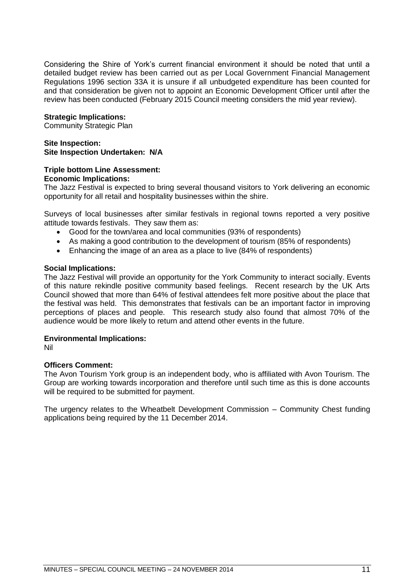Considering the Shire of York's current financial environment it should be noted that until a detailed budget review has been carried out as per Local Government Financial Management Regulations 1996 section 33A it is unsure if all unbudgeted expenditure has been counted for and that consideration be given not to appoint an Economic Development Officer until after the review has been conducted (February 2015 Council meeting considers the mid year review).

# **Strategic Implications:**

Community Strategic Plan

# **Site Inspection: Site Inspection Undertaken: N/A**

## **Triple bottom Line Assessment: Economic Implications:**

The Jazz Festival is expected to bring several thousand visitors to York delivering an economic opportunity for all retail and hospitality businesses within the shire.

Surveys of local businesses after similar festivals in regional towns reported a very positive attitude towards festivals. They saw them as:

- Good for the town/area and local communities (93% of respondents)
- As making a good contribution to the development of tourism (85% of respondents)
- Enhancing the image of an area as a place to live (84% of respondents)

# **Social Implications:**

The Jazz Festival will provide an opportunity for the York Community to interact socially. Events of this nature rekindle positive community based feelings. Recent research by the UK Arts Council showed that more than 64% of festival attendees felt more positive about the place that the festival was held. This demonstrates that festivals can be an important factor in improving perceptions of places and people. This research study also found that almost 70% of the audience would be more likely to return and attend other events in the future.

# **Environmental Implications:**

Nil

# **Officers Comment:**

The Avon Tourism York group is an independent body, who is affiliated with Avon Tourism. The Group are working towards incorporation and therefore until such time as this is done accounts will be required to be submitted for payment.

The urgency relates to the Wheatbelt Development Commission – Community Chest funding applications being required by the 11 December 2014.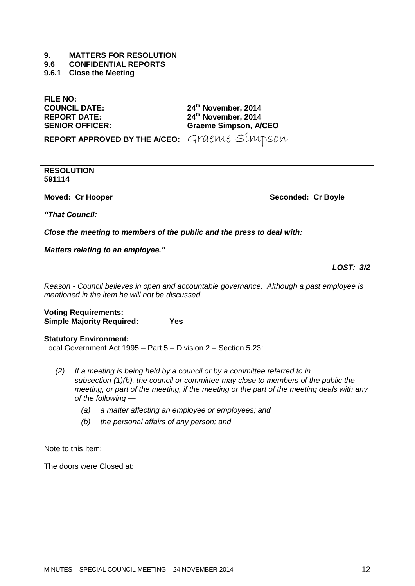# **9. MATTERS FOR RESOLUTION**

# **9.6 CONFIDENTIAL REPORTS**

# <span id="page-11-0"></span>**9.6.1 Close the Meeting**

**FILE NO:**

**COUNCIL DATE: 24th November, 2014 REPORT DATE: 24th November, 2014 SENIOR OFFICER: Graeme Simpson, A/CEO**

**REPORT APPROVED BY THE A/CEO:** Graeme Simpson

**RESOLUTION 591114**

**Moved: Cr Hooper Seconded: Cr Boyle** 

*"That Council:*

*Close the meeting to members of the public and the press to deal with:*

*Matters relating to an employee."*

*LOST: 3/2*

*Reason - Council believes in open and accountable governance. Although a past employee is mentioned in the item he will not be discussed.*

**Voting Requirements: Simple Majority Required: Yes**

**Statutory Environment:** Local Government Act 1995 – Part 5 – Division 2 – Section 5.23:

- *(2) If a meeting is being held by a council or by a committee referred to in subsection (1)(b), the council or committee may close to members of the public the meeting, or part of the meeting, if the meeting or the part of the meeting deals with any of the following —*
	- *(a) a matter affecting an employee or employees; and*
	- *(b) the personal affairs of any person; and*

Note to this Item:

The doors were Closed at: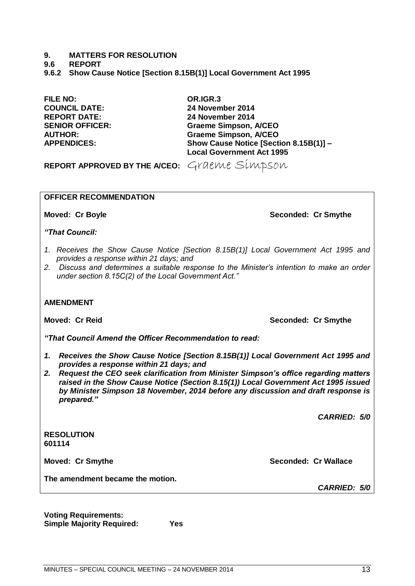# **9. MATTERS FOR RESOLUTION**

**9.6 REPORT**

<span id="page-12-0"></span>**9.6.2 Show Cause Notice [Section 8.15B(1)] Local Government Act 1995**

**FILE NO: OR.IGR.3 COUNCIL DATE: 24 November 2014 REPORT DATE: 24 November 2014**

**SENIOR OFFICER: Graeme Simpson, A/CEO AUTHOR: Graeme Simpson, A/CEO APPENDICES: Show Cause Notice [Section 8.15B(1)] – Local Government Act 1995**

**REPORT APPROVED BY THE A/CEO:** Graeme Simpson

# **OFFICER RECOMMENDATION**

**Moved: Cr Boyle Seconded: Cr Smythe Seconded: Cr Smythe** 

*"That Council:*

- *1. Receives the Show Cause Notice [Section 8.15B(1)] Local Government Act 1995 and provides a response within 21 days; and*
- *2. Discuss and determines a suitable response to the Minister's intention to make an order under section 8.15C(2) of the Local Government Act.‖*

# **AMENDMENT**

*"That Council Amend the Officer Recommendation to read:*

- *1. Receives the Show Cause Notice [Section 8.15B(1)] Local Government Act 1995 and provides a response within 21 days; and*
- *2. Request the CEO seek clarification from Minister Simpson's office regarding matters raised in the Show Cause Notice (Section 8.15(1)) Local Government Act 1995 issued by Minister Simpson 18 November, 2014 before any discussion and draft response is prepared."*

*CARRIED: 5/0*

**RESOLUTION 601114**

**The amendment became the motion.**

**Voting Requirements: Simple Majority Required: Yes**

**Moved: Cr Reid Seconded: Cr Smythe**

**Moved: Cr Smythe Seconded: Cr Wallace** *CARRIED: 5/0*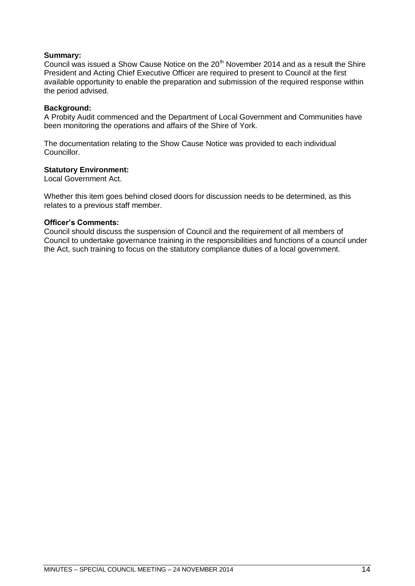# **Summary:**

Council was issued a Show Cause Notice on the  $20<sup>th</sup>$  November 2014 and as a result the Shire President and Acting Chief Executive Officer are required to present to Council at the first available opportunity to enable the preparation and submission of the required response within the period advised.

## **Background:**

A Probity Audit commenced and the Department of Local Government and Communities have been monitoring the operations and affairs of the Shire of York.

The documentation relating to the Show Cause Notice was provided to each individual Councillor.

## **Statutory Environment:**

Local Government Act.

Whether this item goes behind closed doors for discussion needs to be determined, as this relates to a previous staff member.

## **Officer's Comments:**

Council should discuss the suspension of Council and the requirement of all members of Council to undertake governance training in the responsibilities and functions of a council under the Act, such training to focus on the statutory compliance duties of a local government.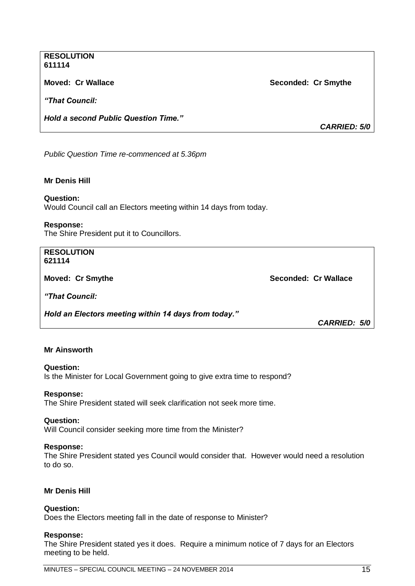# **RESOLUTION 611114**

*"That Council:*

*Hold a second Public Question Time."*

**Moved: Cr Wallace Seconded: Cr Smythe**

*CARRIED: 5/0*

*Public Question Time re-commenced at 5.36pm*

# **Mr Denis Hill**

# **Question:**

Would Council call an Electors meeting within 14 days from today.

## **Response:**

The Shire President put it to Councillors.

### **RESOLUTION 621114**

**Moved: Cr Smythe Seconded: Cr Wallace**

*"That Council:*

*Hold an Electors meeting within 14 days from today."*

*CARRIED: 5/0*

# **Mr Ainsworth**

## **Question:**

Is the Minister for Local Government going to give extra time to respond?

## **Response:**

The Shire President stated will seek clarification not seek more time.

## **Question:**

Will Council consider seeking more time from the Minister?

## **Response:**

The Shire President stated yes Council would consider that. However would need a resolution to do so.

# **Mr Denis Hill**

# **Question:**

Does the Electors meeting fall in the date of response to Minister?

## **Response:**

The Shire President stated yes it does. Require a minimum notice of 7 days for an Electors meeting to be held.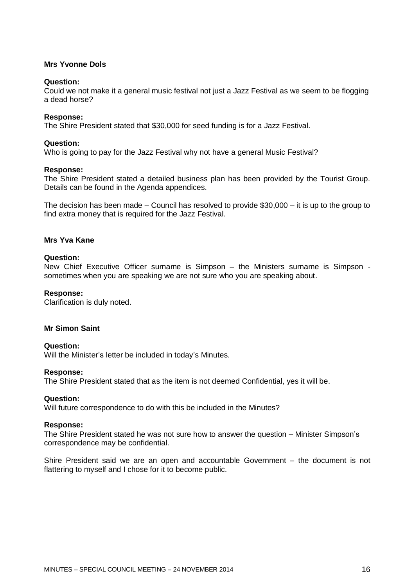# **Mrs Yvonne Dols**

# **Question:**

Could we not make it a general music festival not just a Jazz Festival as we seem to be flogging a dead horse?

# **Response:**

The Shire President stated that \$30,000 for seed funding is for a Jazz Festival.

# **Question:**

Who is going to pay for the Jazz Festival why not have a general Music Festival?

# **Response:**

The Shire President stated a detailed business plan has been provided by the Tourist Group. Details can be found in the Agenda appendices.

The decision has been made – Council has resolved to provide \$30,000 – it is up to the group to find extra money that is required for the Jazz Festival.

# **Mrs Yva Kane**

# **Question:**

New Chief Executive Officer surname is Simpson – the Ministers surname is Simpson sometimes when you are speaking we are not sure who you are speaking about.

# **Response:**

Clarification is duly noted.

# **Mr Simon Saint**

## **Question:**

Will the Minister's letter be included in today's Minutes.

## **Response:**

The Shire President stated that as the item is not deemed Confidential, yes it will be.

## **Question:**

Will future correspondence to do with this be included in the Minutes?

## **Response:**

The Shire President stated he was not sure how to answer the question – Minister Simpson's correspondence may be confidential.

Shire President said we are an open and accountable Government – the document is not flattering to myself and I chose for it to become public.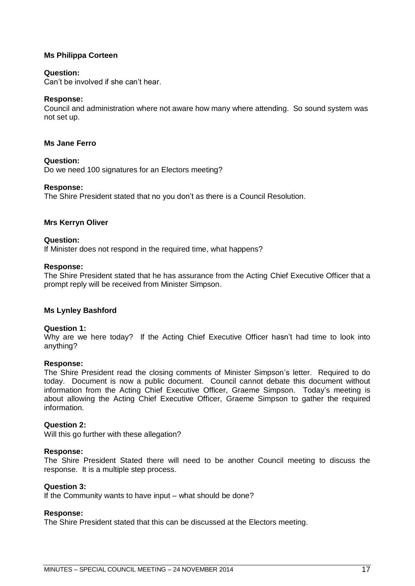# **Ms Philippa Corteen**

# **Question:**

Can't be involved if she can't hear.

# **Response:**

Council and administration where not aware how many where attending. So sound system was not set up.

# **Ms Jane Ferro**

# **Question:**

Do we need 100 signatures for an Electors meeting?

# **Response:**

The Shire President stated that no you don't as there is a Council Resolution.

# **Mrs Kerryn Oliver**

# **Question:**

If Minister does not respond in the required time, what happens?

## **Response:**

The Shire President stated that he has assurance from the Acting Chief Executive Officer that a prompt reply will be received from Minister Simpson.

# **Ms Lynley Bashford**

## **Question 1:**

Why are we here today? If the Acting Chief Executive Officer hasn't had time to look into anything?

## **Response:**

The Shire President read the closing comments of Minister Simpson's letter. Required to do today. Document is now a public document. Council cannot debate this document without information from the Acting Chief Executive Officer, Graeme Simpson. Today's meeting is about allowing the Acting Chief Executive Officer, Graeme Simpson to gather the required information.

## **Question 2:**

Will this go further with these allegation?

## **Response:**

The Shire President Stated there will need to be another Council meeting to discuss the response. It is a multiple step process.

## **Question 3:**

If the Community wants to have input – what should be done?

## **Response:**

The Shire President stated that this can be discussed at the Electors meeting.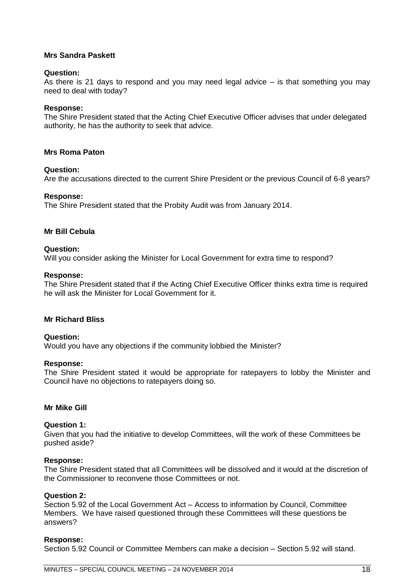# **Mrs Sandra Paskett**

# **Question:**

As there is 21 days to respond and you may need legal advice  $-$  is that something you may need to deal with today?

# **Response:**

The Shire President stated that the Acting Chief Executive Officer advises that under delegated authority, he has the authority to seek that advice.

# **Mrs Roma Paton**

# **Question:**

Are the accusations directed to the current Shire President or the previous Council of 6-8 years?

# **Response:**

The Shire President stated that the Probity Audit was from January 2014.

# **Mr Bill Cebula**

# **Question:**

Will you consider asking the Minister for Local Government for extra time to respond?

# **Response:**

The Shire President stated that if the Acting Chief Executive Officer thinks extra time is required he will ask the Minister for Local Government for it.

# **Mr Richard Bliss**

# **Question:**

Would you have any objections if the community lobbied the Minister?

## **Response:**

The Shire President stated it would be appropriate for ratepayers to lobby the Minister and Council have no objections to ratepayers doing so.

# **Mr Mike Gill**

## **Question 1:**

Given that you had the initiative to develop Committees, will the work of these Committees be pushed aside?

# **Response:**

The Shire President stated that all Committees will be dissolved and it would at the discretion of the Commissioner to reconvene those Committees or not.

# **Question 2:**

Section 5.92 of the Local Government Act – Access to information by Council, Committee Members. We have raised questioned through these Committees will these questions be answers?

# **Response:**

Section 5.92 Council or Committee Members can make a decision – Section 5.92 will stand.